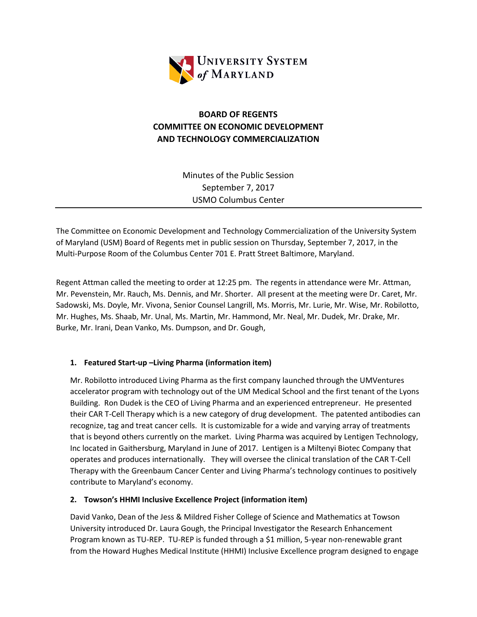

# **BOARD OF REGENTS COMMITTEE ON ECONOMIC DEVELOPMENT AND TECHNOLOGY COMMERCIALIZATION**

Minutes of the Public Session September 7, 2017 USMO Columbus Center

The Committee on Economic Development and Technology Commercialization of the University System of Maryland (USM) Board of Regents met in public session on Thursday, September 7, 2017, in the Multi-Purpose Room of the Columbus Center 701 E. Pratt Street Baltimore, Maryland.

Regent Attman called the meeting to order at 12:25 pm. The regents in attendance were Mr. Attman, Mr. Pevenstein, Mr. Rauch, Ms. Dennis, and Mr. Shorter. All present at the meeting were Dr. Caret, Mr. Sadowski, Ms. Doyle, Mr. Vivona, Senior Counsel Langrill, Ms. Morris, Mr. Lurie, Mr. Wise, Mr. Robilotto, Mr. Hughes, Ms. Shaab, Mr. Unal, Ms. Martin, Mr. Hammond, Mr. Neal, Mr. Dudek, Mr. Drake, Mr. Burke, Mr. Irani, Dean Vanko, Ms. Dumpson, and Dr. Gough,

## **1. Featured Start-up –Living Pharma (information item)**

Mr. Robilotto introduced Living Pharma as the first company launched through the UMVentures accelerator program with technology out of the UM Medical School and the first tenant of the Lyons Building. Ron Dudek is the CEO of Living Pharma and an experienced entrepreneur. He presented their CAR T-Cell Therapy which is a new category of drug development. The patented antibodies can recognize, tag and treat cancer cells. It is customizable for a wide and varying array of treatments that is beyond others currently on the market. Living Pharma was acquired by Lentigen Technology, Inc located in Gaithersburg, Maryland in June of 2017. Lentigen is a Miltenyi Biotec Company that operates and produces internationally. They will oversee the clinical translation of the CAR T-Cell Therapy with the Greenbaum Cancer Center and Living Pharma's technology continues to positively contribute to Maryland's economy.

#### **2. Towson's HHMI Inclusive Excellence Project (information item)**

David Vanko, Dean of the Jess & Mildred Fisher College of Science and Mathematics at Towson University introduced Dr. Laura Gough, the Principal Investigator the Research Enhancement Program known as TU-REP. TU-REP is funded through a \$1 million, 5-year non-renewable grant from the Howard Hughes Medical Institute (HHMI) Inclusive Excellence program designed to engage